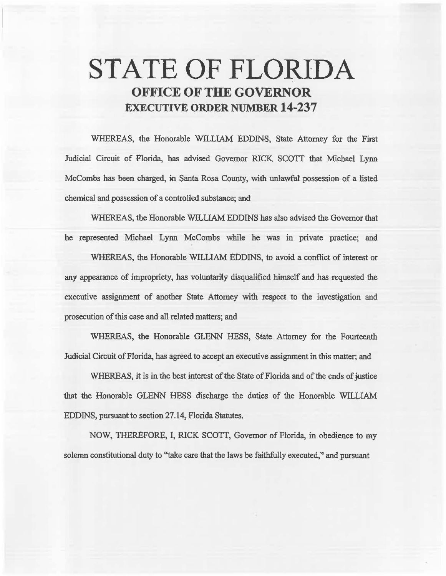# **STATE OF FLORIDA OFFICE OF THE GOVERNOR EXECUTIVE ORDER NUMBER 14-237**

WHEREAS, the Honorable WILLIAM EDDINS, State Attorney for the First Judicial Circuit of Florida, bas advised Govemor RICK SCOTT that Michael Lynn Mccombs has been charged, in Santa Rosa County, with unlawful possession of a listed chemical and possession of a controlled substance; and

WHEREAS, the Honorable WILLIAM EDDINS has also advised the Governor that he represented Michael Lynn McCombs while he was in private practice; and WHEREAS, the Honorable WILLIAM EDDINS, to avoid a conflict of interest or any appearance of impropriety, has voluntarily disqualified himself and has requested the executive assignment of another State Attorney with respect to the investigation and prosecution of this case and all related matters; and

WHEREAS, the Honorable GLENN HESS, State Attorney for the Fourteenth Judicial Circuit of Florida, has agreed to accept an executive assignment in this matter; and

WHEREAS, it is in the best interest of the State of Florida and of the ends of justice that the Honorable GLENN HESS discharge the duties of the Honorable WILLIAM EDDINS, pursuant to section 27.14, Florida Statutes.

NOW, THEREFORE, I, RICK SCOTT, Governor of Florida, in obedience to my solemn constitutional duty to "take care that the laws be faithfully executed,'' and pursuant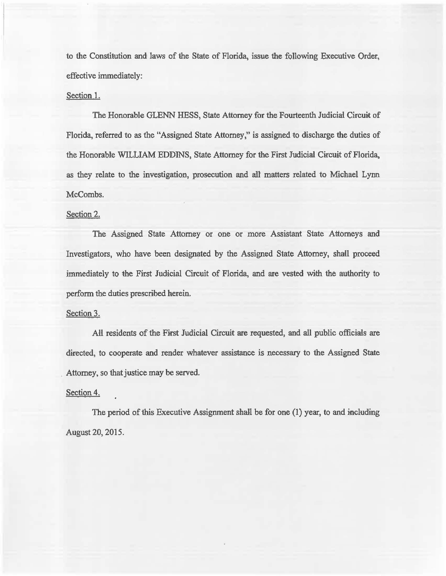to the Constimtion and laws of the State of Florida, issue the following Executive Order, effective immediately:

### Section 1.

The Honorable GLENN HESS, State Attorney for the Fourteenth Judicial Circuit of Florida, referred to as the "Assigned State Attorney," is assigned to discharge the duties of the Honorable WILLIAM EDDINS, State Attorney for the First Judicial Circuit of Florida, as they relate to the investigation, prosecution and all matters related to Michael Lynn McCombs.

## Section 2.

The Assigned State Attorney or one or more Assistant State Attorneys and Investigators, who have been designated by the Assigned State Attorney, shall proceed immediately to the First Judicial Circuit of Florida, and are vested with the authority to perform the duties prescribed herein.

#### Section 3.

All residents of the First Judicial Circuit are requested, and all public officials are directed, to cooperate and render whatever assistance is necessary to the Assigned State Attorney, so that justice may be served.

#### Section 4.

The period of this Executive Assignment shall be for one  $(1)$  year, to and including August 20, 2015.